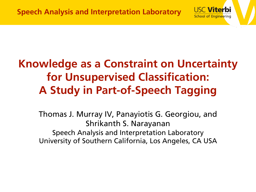

**USC Viterbi** 

**School of Engineering** 

Thomas J. Murray IV, Panayiotis G. Georgiou, and Shrikanth S. Narayanan Speech Analysis and Interpretation Laboratory University of Southern California, Los Angeles, CA USA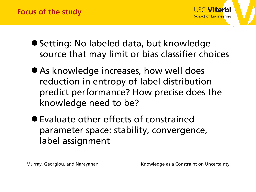

- Setting: No labeled data, but knowledge source that may limit or bias classifier choices
- As knowledge increases, how well does reduction in entropy of label distribution predict performance? How precise does the knowledge need to be?
- •Evaluate other effects of constrained parameter space: stability, convergence, label assignment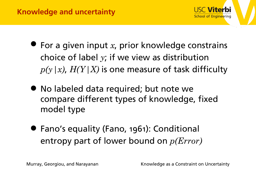

- For a given input *x*, prior knowledge constrains choice of label *y*; if we view as distribution  $p(y|x)$ ,  $H(Y|X)$  is one measure of task difficulty
- No labeled data required; but note we compare different types of knowledge, fixed model type
- Fano's equality (Fano, 1961): Conditional entropy part of lower bound on *p(Error)*